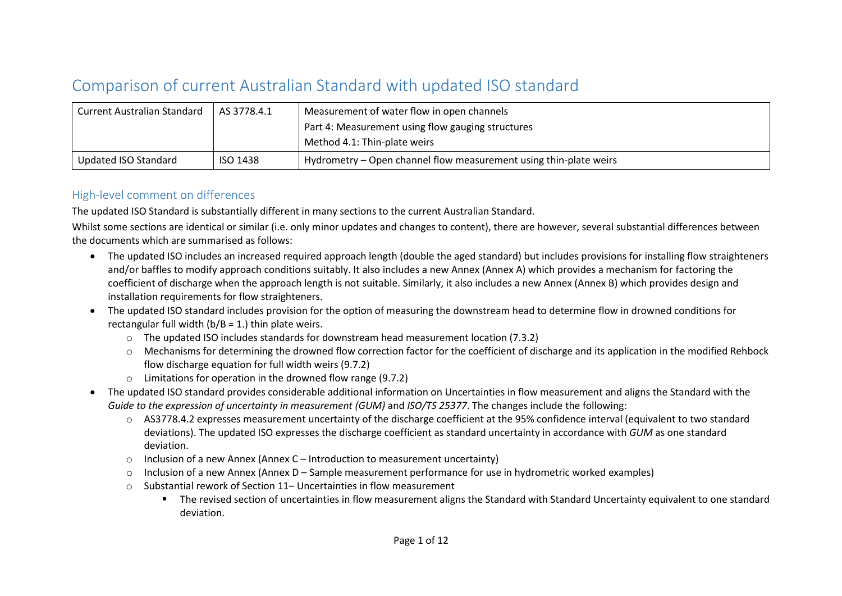## Comparison of current Australian Standard with updated ISO standard

| Current Australian Standard | AS 3778.4.1     | Measurement of water flow in open channels                        |  |
|-----------------------------|-----------------|-------------------------------------------------------------------|--|
|                             |                 | Part 4: Measurement using flow gauging structures                 |  |
|                             |                 | Method 4.1: Thin-plate weirs                                      |  |
| Updated ISO Standard        | <b>ISO 1438</b> | Hydrometry – Open channel flow measurement using thin-plate weirs |  |

## High-level comment on differences

The updated ISO Standard is substantially different in many sections to the current Australian Standard.

Whilst some sections are identical or similar (i.e. only minor updates and changes to content), there are however, several substantial differences between the documents which are summarised as follows:

- The updated ISO includes an increased required approach length (double the aged standard) but includes provisions for installing flow straighteners and/or baffles to modify approach conditions suitably. It also includes a new Annex (Annex A) which provides a mechanism for factoring the coefficient of discharge when the approach length is not suitable. Similarly, it also includes a new Annex (Annex B) which provides design and installation requirements for flow straighteners.
- The updated ISO standard includes provision for the option of measuring the downstream head to determine flow in drowned conditions for rectangular full width  $(b/B = 1)$  thin plate weirs.
	- $\circ$  The updated ISO includes standards for downstream head measurement location (7.3.2)
	- o Mechanisms for determining the drowned flow correction factor for the coefficient of discharge and its application in the modified Rehbock flow discharge equation for full width weirs (9.7.2)
	- o Limitations for operation in the drowned flow range (9.7.2)
- The updated ISO standard provides considerable additional information on Uncertainties in flow measurement and aligns the Standard with the *Guide to the expression of uncertainty in measurement (GUM)* and *ISO/TS 25377*. The changes include the following:
	- o AS3778.4.2 expresses measurement uncertainty of the discharge coefficient at the 95% confidence interval (equivalent to two standard deviations). The updated ISO expresses the discharge coefficient as standard uncertainty in accordance with *GUM* as one standard deviation.
	- $\circ$  Inclusion of a new Annex (Annex C Introduction to measurement uncertainty)
	- o Inclusion of a new Annex (Annex D Sample measurement performance for use in hydrometric worked examples)
	- $\circ$  Substantial rework of Section 11– Uncertainties in flow measurement
		- The revised section of uncertainties in flow measurement aligns the Standard with Standard Uncertainty equivalent to one standard deviation.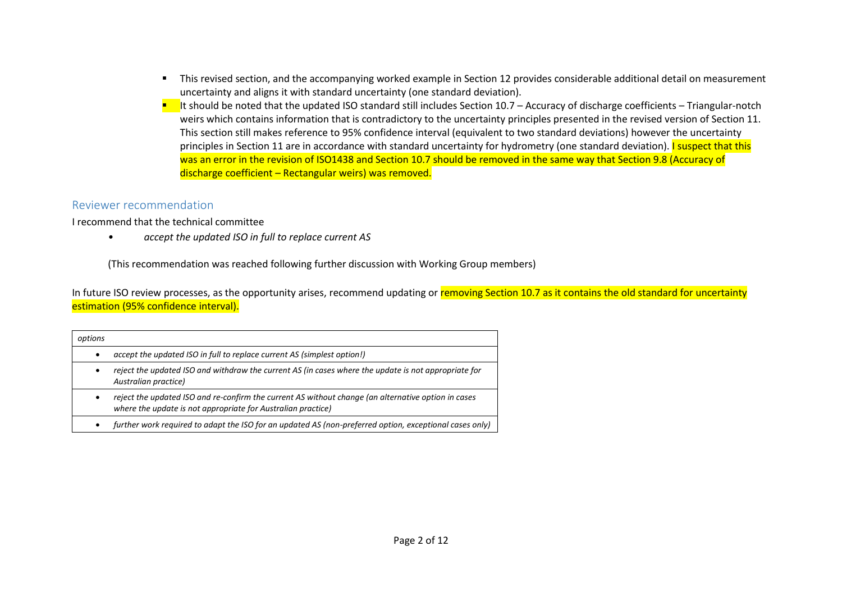- This revised section, and the accompanying worked example in Section 12 provides considerable additional detail on measurement uncertainty and aligns it with standard uncertainty (one standard deviation).
- $■$  It should be noted that the updated ISO standard still includes Section 10.7 Accuracy of discharge coefficients Triangular-notch weirs which contains information that is contradictory to the uncertainty principles presented in the revised version of Section 11. This section still makes reference to 95% confidence interval (equivalent to two standard deviations) however the uncertainty principles in Section 11 are in accordance with standard uncertainty for hydrometry (one standard deviation). I suspect that this was an error in the revision of ISO1438 and Section 10.7 should be removed in the same way that Section 9.8 (Accuracy of discharge coefficient – Rectangular weirs) was removed.

## Reviewer recommendation

I recommend that the technical committee

*• accept the updated ISO in full to replace current AS* 

(This recommendation was reached following further discussion with Working Group members)

In future ISO review processes, as the opportunity arises, recommend updating or removing Section 10.7 as it contains the old standard for uncertainty estimation (95% confidence interval).

| options   |                                                                                                                                                                     |
|-----------|---------------------------------------------------------------------------------------------------------------------------------------------------------------------|
| ٠         | accept the updated ISO in full to replace current AS (simplest option!)                                                                                             |
| $\bullet$ | reject the updated ISO and withdraw the current AS (in cases where the update is not appropriate for<br>Australian practice)                                        |
| $\bullet$ | reject the updated ISO and re-confirm the current AS without change (an alternative option in cases<br>where the update is not appropriate for Australian practice) |
| $\bullet$ | further work required to adapt the ISO for an updated AS (non-preferred option, exceptional cases only)                                                             |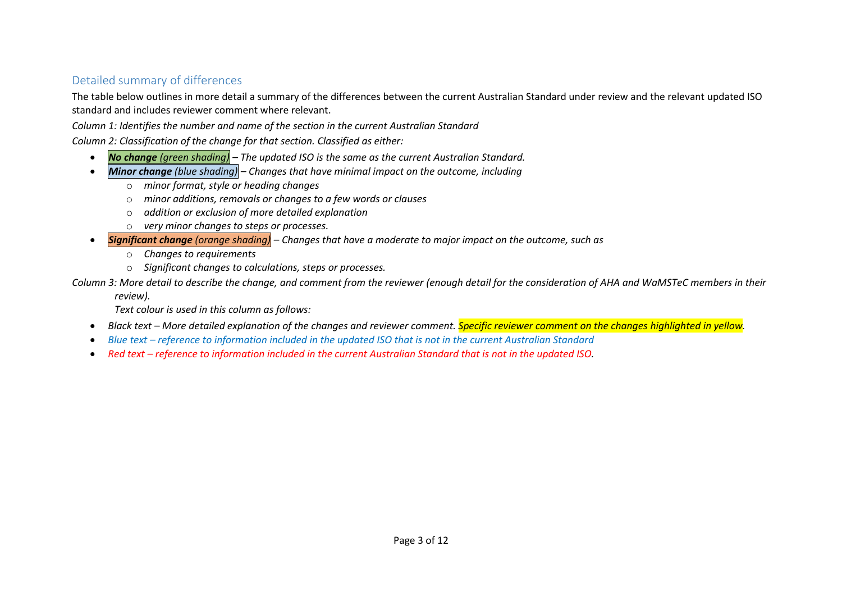## Detailed summary of differences

The table below outlines in more detail a summary of the differences between the current Australian Standard under review and the relevant updated ISO standard and includes reviewer comment where relevant.

*Column 1: Identifies the number and name of the section in the current Australian Standard*

*Column 2: Classification of the change for that section. Classified as either:*

- *No change (green shading) – The updated ISO is the same as the current Australian Standard.*
- *Minor change (blue shading) – Changes that have minimal impact on the outcome, including*
	- o *minor format, style or heading changes*
	- o *minor additions, removals or changes to a few words or clauses*
	- o *addition or exclusion of more detailed explanation*
	- o *very minor changes to steps or processes.*
- *Significant change (orange shading) – Changes that have a moderate to major impact on the outcome, such as*
	- o *Changes to requirements*
	- o *Significant changes to calculations, steps or processes.*

*Column 3: More detail to describe the change, and comment from the reviewer (enough detail for the consideration of AHA and WaMSTeC members in their* 

*review).*

*Text colour is used in this column as follows:*

- *Black text – More detailed explanation of the changes and reviewer comment. Specific reviewer comment on the changes highlighted in yellow.*
- *Blue text – reference to information included in the updated ISO that is not in the current Australian Standard*
- Red text *reference to information included in the current Australian Standard that is not in the updated ISO.*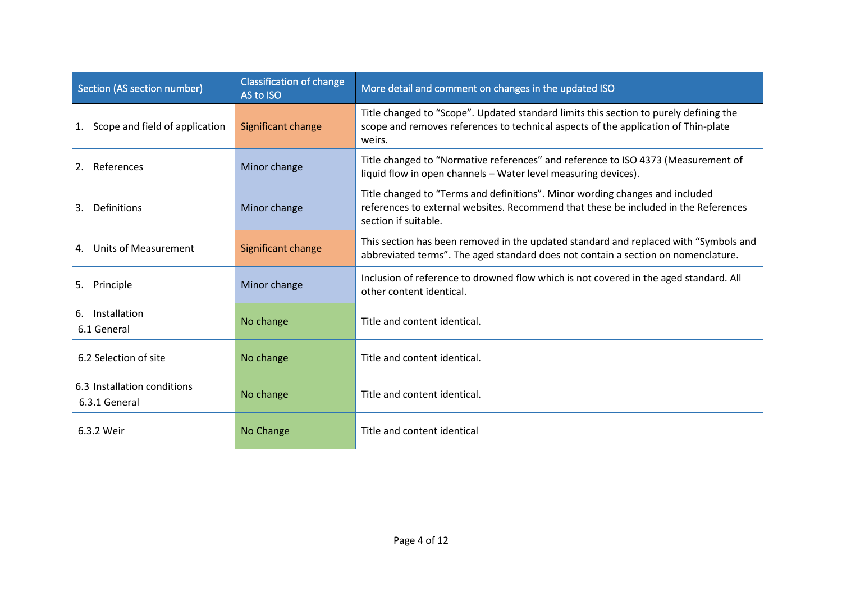| <b>Classification of change</b><br>Section (AS section number)<br>AS to ISO |                    | More detail and comment on changes in the updated ISO                                                                                                                                       |
|-----------------------------------------------------------------------------|--------------------|---------------------------------------------------------------------------------------------------------------------------------------------------------------------------------------------|
| 1. Scope and field of application                                           | Significant change | Title changed to "Scope". Updated standard limits this section to purely defining the<br>scope and removes references to technical aspects of the application of Thin-plate<br>weirs.       |
| 2. References                                                               | Minor change       | Title changed to "Normative references" and reference to ISO 4373 (Measurement of<br>liquid flow in open channels - Water level measuring devices).                                         |
| 3. Definitions                                                              | Minor change       | Title changed to "Terms and definitions". Minor wording changes and included<br>references to external websites. Recommend that these be included in the References<br>section if suitable. |
| 4. Units of Measurement                                                     | Significant change | This section has been removed in the updated standard and replaced with "Symbols and<br>abbreviated terms". The aged standard does not contain a section on nomenclature.                   |
| 5. Principle                                                                | Minor change       | Inclusion of reference to drowned flow which is not covered in the aged standard. All<br>other content identical.                                                                           |
| 6. Installation<br>6.1 General                                              | No change          | Title and content identical.                                                                                                                                                                |
| 6.2 Selection of site                                                       | No change          | Title and content identical.                                                                                                                                                                |
| 6.3 Installation conditions<br>6.3.1 General                                | No change          | Title and content identical.                                                                                                                                                                |
| 6.3.2 Weir                                                                  | No Change          | Title and content identical                                                                                                                                                                 |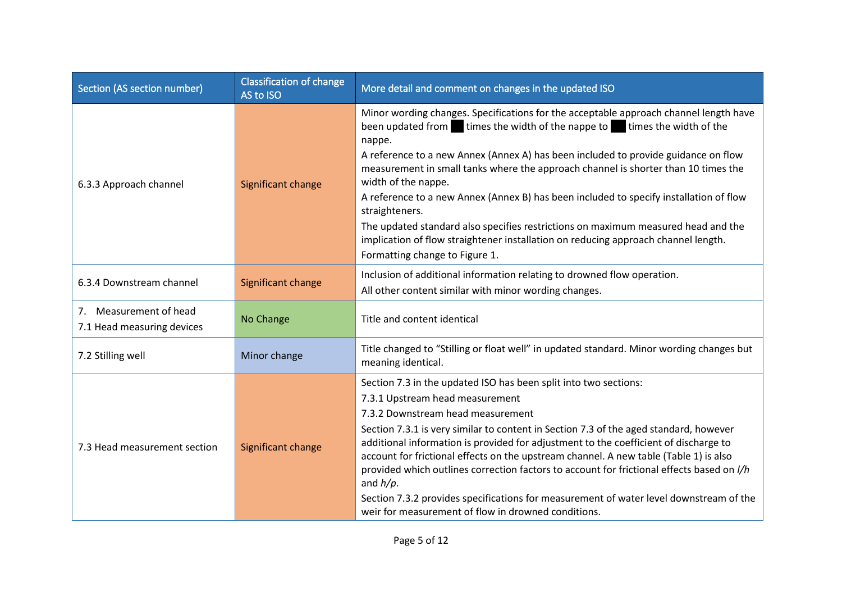| Section (AS section number)                          | <b>Classification of change</b><br>AS to ISO | More detail and comment on changes in the updated ISO                                                                                                                                                                                                                                                                                                                              |
|------------------------------------------------------|----------------------------------------------|------------------------------------------------------------------------------------------------------------------------------------------------------------------------------------------------------------------------------------------------------------------------------------------------------------------------------------------------------------------------------------|
| 6.3.3 Approach channel                               | Significant change                           | Minor wording changes. Specifications for the acceptable approach channel length have<br>been updated from times the width of the nappe to times the width of the<br>nappe.<br>A reference to a new Annex (Annex A) has been included to provide guidance on flow<br>measurement in small tanks where the approach channel is shorter than 10 times the<br>width of the nappe.     |
|                                                      |                                              | A reference to a new Annex (Annex B) has been included to specify installation of flow<br>straighteners.                                                                                                                                                                                                                                                                           |
|                                                      |                                              | The updated standard also specifies restrictions on maximum measured head and the<br>implication of flow straightener installation on reducing approach channel length.<br>Formatting change to Figure 1.                                                                                                                                                                          |
| 6.3.4 Downstream channel                             | Significant change                           | Inclusion of additional information relating to drowned flow operation.<br>All other content similar with minor wording changes.                                                                                                                                                                                                                                                   |
| 7. Measurement of head<br>7.1 Head measuring devices | No Change                                    | Title and content identical                                                                                                                                                                                                                                                                                                                                                        |
| 7.2 Stilling well                                    | Minor change                                 | Title changed to "Stilling or float well" in updated standard. Minor wording changes but<br>meaning identical.                                                                                                                                                                                                                                                                     |
|                                                      | Significant change                           | Section 7.3 in the updated ISO has been split into two sections:                                                                                                                                                                                                                                                                                                                   |
|                                                      |                                              | 7.3.1 Upstream head measurement                                                                                                                                                                                                                                                                                                                                                    |
|                                                      |                                              | 7.3.2 Downstream head measurement                                                                                                                                                                                                                                                                                                                                                  |
| 7.3 Head measurement section                         |                                              | Section 7.3.1 is very similar to content in Section 7.3 of the aged standard, however<br>additional information is provided for adjustment to the coefficient of discharge to<br>account for frictional effects on the upstream channel. A new table (Table 1) is also<br>provided which outlines correction factors to account for frictional effects based on //h<br>and $h/p$ . |
|                                                      |                                              | Section 7.3.2 provides specifications for measurement of water level downstream of the<br>weir for measurement of flow in drowned conditions.                                                                                                                                                                                                                                      |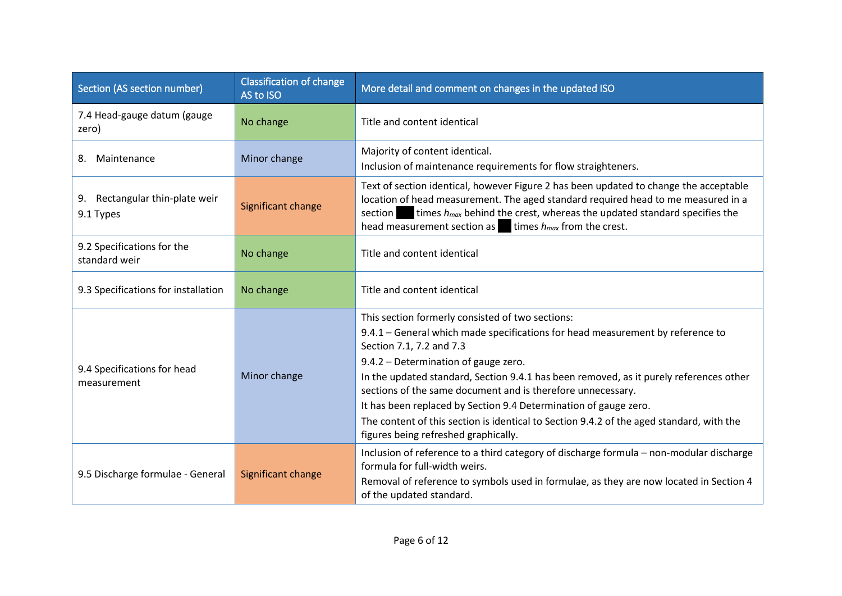| Section (AS section number)                 | <b>Classification of change</b><br>AS to ISO | More detail and comment on changes in the updated ISO                                                                                                                                                                                                                                                                                                                                                                                                                                                                                                                   |
|---------------------------------------------|----------------------------------------------|-------------------------------------------------------------------------------------------------------------------------------------------------------------------------------------------------------------------------------------------------------------------------------------------------------------------------------------------------------------------------------------------------------------------------------------------------------------------------------------------------------------------------------------------------------------------------|
| 7.4 Head-gauge datum (gauge<br>zero)        | No change                                    | Title and content identical                                                                                                                                                                                                                                                                                                                                                                                                                                                                                                                                             |
| Maintenance<br>8.                           | Minor change                                 | Majority of content identical.<br>Inclusion of maintenance requirements for flow straighteners.                                                                                                                                                                                                                                                                                                                                                                                                                                                                         |
| 9. Rectangular thin-plate weir<br>9.1 Types | Significant change                           | Text of section identical, however Figure 2 has been updated to change the acceptable<br>location of head measurement. The aged standard required head to me measured in a<br>times $h_{max}$ behind the crest, whereas the updated standard specifies the<br>section<br>head measurement section as $\blacksquare$ times $h_{max}$ from the crest.                                                                                                                                                                                                                     |
| 9.2 Specifications for the<br>standard weir | No change                                    | Title and content identical                                                                                                                                                                                                                                                                                                                                                                                                                                                                                                                                             |
| 9.3 Specifications for installation         | No change                                    | Title and content identical                                                                                                                                                                                                                                                                                                                                                                                                                                                                                                                                             |
| 9.4 Specifications for head<br>measurement  | Minor change                                 | This section formerly consisted of two sections:<br>9.4.1 – General which made specifications for head measurement by reference to<br>Section 7.1, 7.2 and 7.3<br>9.4.2 - Determination of gauge zero.<br>In the updated standard, Section 9.4.1 has been removed, as it purely references other<br>sections of the same document and is therefore unnecessary.<br>It has been replaced by Section 9.4 Determination of gauge zero.<br>The content of this section is identical to Section 9.4.2 of the aged standard, with the<br>figures being refreshed graphically. |
| 9.5 Discharge formulae - General            | Significant change                           | Inclusion of reference to a third category of discharge formula - non-modular discharge<br>formula for full-width weirs.<br>Removal of reference to symbols used in formulae, as they are now located in Section 4<br>of the updated standard.                                                                                                                                                                                                                                                                                                                          |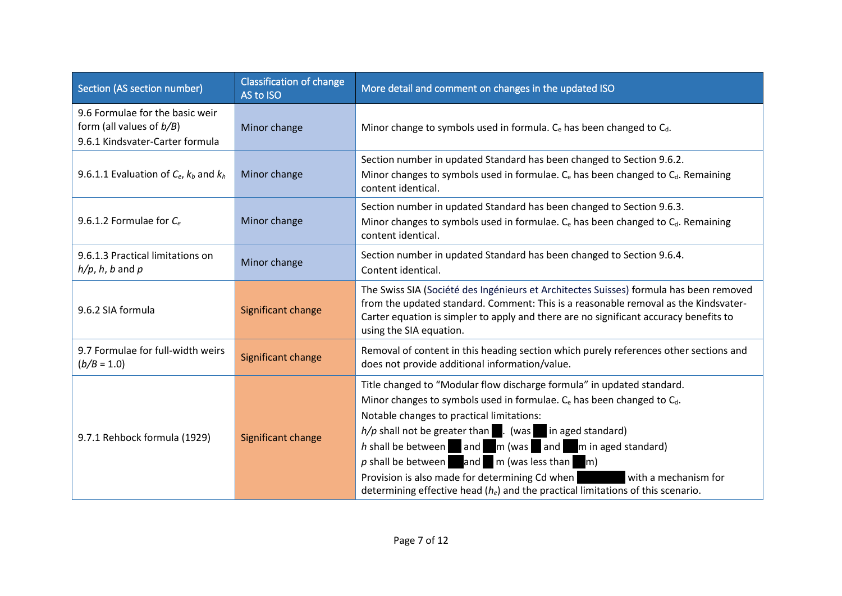| Section (AS section number)                                                                       | <b>Classification of change</b><br>AS to ISO | More detail and comment on changes in the updated ISO                                                                                                                                                                                                                                                                                                                                                                                                                                                                                                                                                      |
|---------------------------------------------------------------------------------------------------|----------------------------------------------|------------------------------------------------------------------------------------------------------------------------------------------------------------------------------------------------------------------------------------------------------------------------------------------------------------------------------------------------------------------------------------------------------------------------------------------------------------------------------------------------------------------------------------------------------------------------------------------------------------|
| 9.6 Formulae for the basic weir<br>form (all values of $b/B$ )<br>9.6.1 Kindsvater-Carter formula | Minor change                                 | Minor change to symbols used in formula. $C_e$ has been changed to $C_d$ .                                                                                                                                                                                                                                                                                                                                                                                                                                                                                                                                 |
| 9.6.1.1 Evaluation of $C_e$ , $k_b$ and $k_h$                                                     | Minor change                                 | Section number in updated Standard has been changed to Section 9.6.2.<br>Minor changes to symbols used in formulae. C <sub>e</sub> has been changed to C <sub>d</sub> . Remaining<br>content identical.                                                                                                                                                                                                                                                                                                                                                                                                    |
| 9.6.1.2 Formulae for $C_e$                                                                        | Minor change                                 | Section number in updated Standard has been changed to Section 9.6.3.<br>Minor changes to symbols used in formulae. $C_e$ has been changed to $C_d$ . Remaining<br>content identical.                                                                                                                                                                                                                                                                                                                                                                                                                      |
| 9.6.1.3 Practical limitations on<br>$h/p$ , h, b and p                                            | Minor change                                 | Section number in updated Standard has been changed to Section 9.6.4.<br>Content identical.                                                                                                                                                                                                                                                                                                                                                                                                                                                                                                                |
| 9.6.2 SIA formula                                                                                 | Significant change                           | The Swiss SIA (Société des Ingénieurs et Architectes Suisses) formula has been removed<br>from the updated standard. Comment: This is a reasonable removal as the Kindsvater-<br>Carter equation is simpler to apply and there are no significant accuracy benefits to<br>using the SIA equation.                                                                                                                                                                                                                                                                                                          |
| 9.7 Formulae for full-width weirs<br>$(b/B = 1.0)$                                                | Significant change                           | Removal of content in this heading section which purely references other sections and<br>does not provide additional information/value.                                                                                                                                                                                                                                                                                                                                                                                                                                                                    |
| 9.7.1 Rehbock formula (1929)                                                                      | Significant change                           | Title changed to "Modular flow discharge formula" in updated standard.<br>Minor changes to symbols used in formulae. C <sub>e</sub> has been changed to C <sub>d</sub> .<br>Notable changes to practical limitations:<br>$h/p$ shall not be greater than $\blacksquare$ . (was in aged standard)<br>h shall be between $\Box$ and $\Box$ m (was $\Box$ and $\Box$ m in aged standard)<br>$p$ shall be between and $m$ (was less than $m$ )<br>Provision is also made for determining Cd when<br>with a mechanism for<br>determining effective head $(h_e)$ and the practical limitations of this scenario. |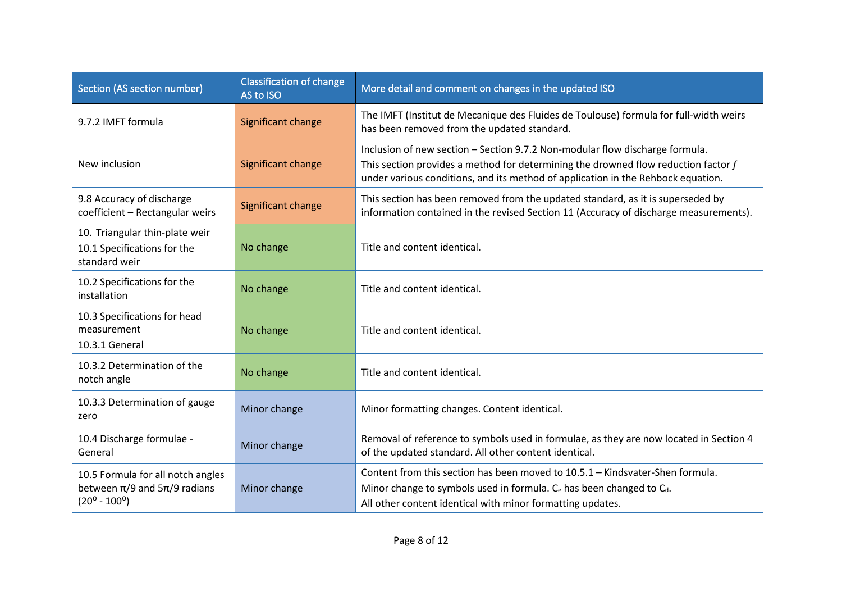| Section (AS section number)                                                                               | <b>Classification of change</b><br>AS to ISO | More detail and comment on changes in the updated ISO                                                                                                                                                                                                  |
|-----------------------------------------------------------------------------------------------------------|----------------------------------------------|--------------------------------------------------------------------------------------------------------------------------------------------------------------------------------------------------------------------------------------------------------|
| 9.7.2 IMFT formula                                                                                        | Significant change                           | The IMFT (Institut de Mecanique des Fluides de Toulouse) formula for full-width weirs<br>has been removed from the updated standard.                                                                                                                   |
| New inclusion                                                                                             | Significant change                           | Inclusion of new section - Section 9.7.2 Non-modular flow discharge formula.<br>This section provides a method for determining the drowned flow reduction factor f<br>under various conditions, and its method of application in the Rehbock equation. |
| 9.8 Accuracy of discharge<br>coefficient - Rectangular weirs                                              | Significant change                           | This section has been removed from the updated standard, as it is superseded by<br>information contained in the revised Section 11 (Accuracy of discharge measurements).                                                                               |
| 10. Triangular thin-plate weir<br>10.1 Specifications for the<br>standard weir                            | No change                                    | Title and content identical.                                                                                                                                                                                                                           |
| 10.2 Specifications for the<br>installation                                                               | No change                                    | Title and content identical.                                                                                                                                                                                                                           |
| 10.3 Specifications for head<br>measurement<br>10.3.1 General                                             | No change                                    | Title and content identical.                                                                                                                                                                                                                           |
| 10.3.2 Determination of the<br>notch angle                                                                | No change                                    | Title and content identical.                                                                                                                                                                                                                           |
| 10.3.3 Determination of gauge<br>zero                                                                     | Minor change                                 | Minor formatting changes. Content identical.                                                                                                                                                                                                           |
| 10.4 Discharge formulae -<br>General                                                                      | Minor change                                 | Removal of reference to symbols used in formulae, as they are now located in Section 4<br>of the updated standard. All other content identical.                                                                                                        |
| 10.5 Formula for all notch angles<br>between $\pi/9$ and $5\pi/9$ radians<br>$(20^{\circ} - 100^{\circ})$ | Minor change                                 | Content from this section has been moved to 10.5.1 - Kindsvater-Shen formula.<br>Minor change to symbols used in formula. C <sub>e</sub> has been changed to C <sub>d</sub> .<br>All other content identical with minor formatting updates.            |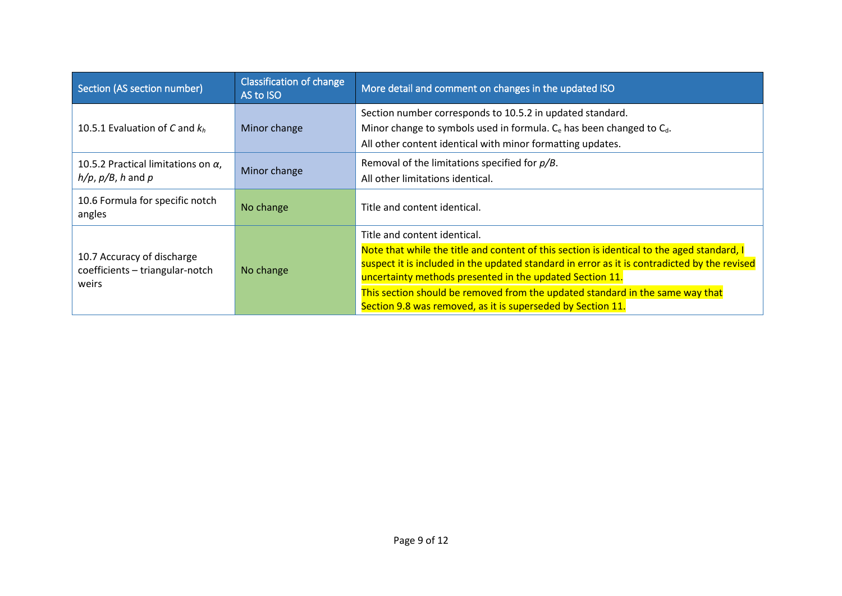| Section (AS section number)                                            | <b>Classification of change</b><br>AS to ISO | More detail and comment on changes in the updated ISO                                                                                                                                                                                                  |
|------------------------------------------------------------------------|----------------------------------------------|--------------------------------------------------------------------------------------------------------------------------------------------------------------------------------------------------------------------------------------------------------|
| 10.5.1 Evaluation of C and $k_h$                                       | Minor change                                 | Section number corresponds to 10.5.2 in updated standard.<br>Minor change to symbols used in formula. C <sub>e</sub> has been changed to C <sub>d</sub> .<br>All other content identical with minor formatting updates.                                |
| 10.5.2 Practical limitations on $\alpha$ ,<br>$h/p$ , $p/B$ , h and p  | Minor change                                 | Removal of the limitations specified for $p/B$ .<br>All other limitations identical.                                                                                                                                                                   |
| 10.6 Formula for specific notch<br>angles                              | No change                                    | Title and content identical.                                                                                                                                                                                                                           |
| 10.7 Accuracy of discharge<br>coefficients - triangular-notch<br>weirs | No change                                    | Title and content identical.                                                                                                                                                                                                                           |
|                                                                        |                                              | Note that while the title and content of this section is identical to the aged standard, I<br>suspect it is included in the updated standard in error as it is contradicted by the revised<br>uncertainty methods presented in the updated Section 11. |
|                                                                        |                                              | This section should be removed from the updated standard in the same way that<br>Section 9.8 was removed, as it is superseded by Section 11.                                                                                                           |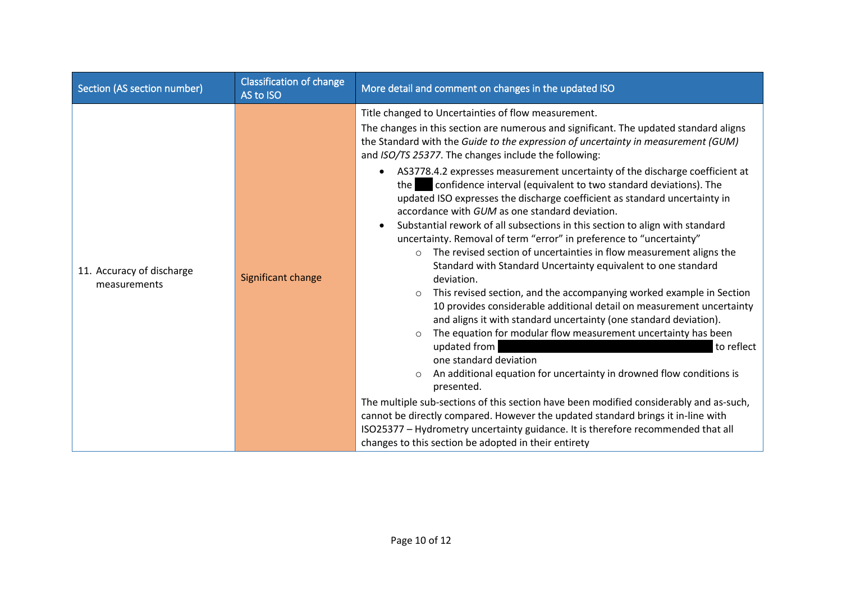| Section (AS section number)               | <b>Classification of change</b><br>AS to ISO | More detail and comment on changes in the updated ISO                                                                                                                                                                                                                                                                                                                                                                                                                                                                                                                                                                                                                                                                                                                                                                                                                                                                                                                                                                                                                                                                                                                                                                                                                                                                                                                                                                                                                                                                                                                                                                                                                                                                        |
|-------------------------------------------|----------------------------------------------|------------------------------------------------------------------------------------------------------------------------------------------------------------------------------------------------------------------------------------------------------------------------------------------------------------------------------------------------------------------------------------------------------------------------------------------------------------------------------------------------------------------------------------------------------------------------------------------------------------------------------------------------------------------------------------------------------------------------------------------------------------------------------------------------------------------------------------------------------------------------------------------------------------------------------------------------------------------------------------------------------------------------------------------------------------------------------------------------------------------------------------------------------------------------------------------------------------------------------------------------------------------------------------------------------------------------------------------------------------------------------------------------------------------------------------------------------------------------------------------------------------------------------------------------------------------------------------------------------------------------------------------------------------------------------------------------------------------------------|
| 11. Accuracy of discharge<br>measurements | Significant change                           | Title changed to Uncertainties of flow measurement.<br>The changes in this section are numerous and significant. The updated standard aligns<br>the Standard with the Guide to the expression of uncertainty in measurement (GUM)<br>and ISO/TS 25377. The changes include the following:<br>AS3778.4.2 expresses measurement uncertainty of the discharge coefficient at<br>$\bullet$<br>confidence interval (equivalent to two standard deviations). The<br>the<br>updated ISO expresses the discharge coefficient as standard uncertainty in<br>accordance with GUM as one standard deviation.<br>Substantial rework of all subsections in this section to align with standard<br>$\bullet$<br>uncertainty. Removal of term "error" in preference to "uncertainty"<br>The revised section of uncertainties in flow measurement aligns the<br>$\circ$<br>Standard with Standard Uncertainty equivalent to one standard<br>deviation.<br>This revised section, and the accompanying worked example in Section<br>$\circ$<br>10 provides considerable additional detail on measurement uncertainty<br>and aligns it with standard uncertainty (one standard deviation).<br>The equation for modular flow measurement uncertainty has been<br>$\circ$<br>updated from<br>to reflect<br>one standard deviation<br>An additional equation for uncertainty in drowned flow conditions is<br>presented.<br>The multiple sub-sections of this section have been modified considerably and as-such,<br>cannot be directly compared. However the updated standard brings it in-line with<br>ISO25377 - Hydrometry uncertainty guidance. It is therefore recommended that all<br>changes to this section be adopted in their entirety |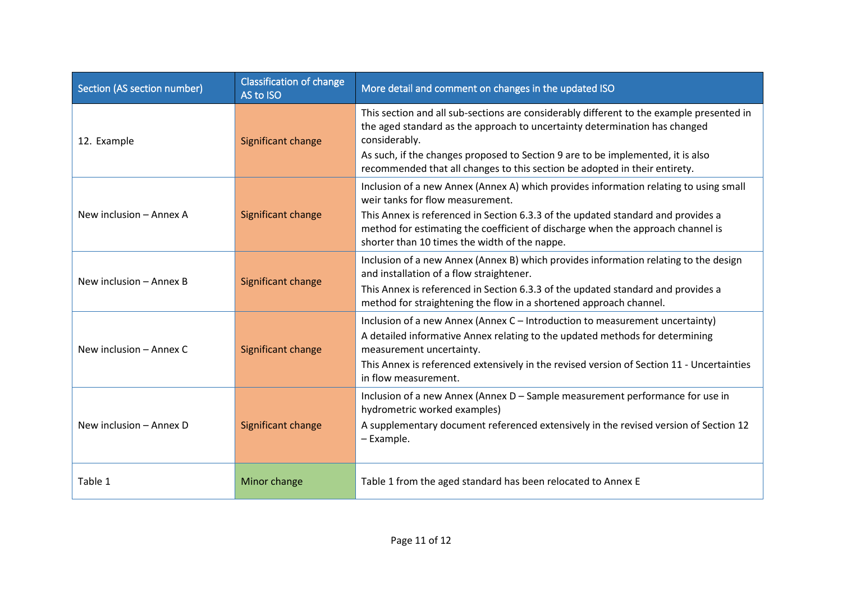| Section (AS section number) | <b>Classification of change</b><br>AS to ISO | More detail and comment on changes in the updated ISO                                                                                                                                                                                                                      |
|-----------------------------|----------------------------------------------|----------------------------------------------------------------------------------------------------------------------------------------------------------------------------------------------------------------------------------------------------------------------------|
| 12. Example                 | Significant change                           | This section and all sub-sections are considerably different to the example presented in<br>the aged standard as the approach to uncertainty determination has changed<br>considerably.<br>As such, if the changes proposed to Section 9 are to be implemented, it is also |
|                             |                                              | recommended that all changes to this section be adopted in their entirety.                                                                                                                                                                                                 |
|                             |                                              | Inclusion of a new Annex (Annex A) which provides information relating to using small<br>weir tanks for flow measurement.                                                                                                                                                  |
| New inclusion - Annex A     | Significant change                           | This Annex is referenced in Section 6.3.3 of the updated standard and provides a<br>method for estimating the coefficient of discharge when the approach channel is<br>shorter than 10 times the width of the nappe.                                                       |
|                             | Significant change                           | Inclusion of a new Annex (Annex B) which provides information relating to the design<br>and installation of a flow straightener.                                                                                                                                           |
| New inclusion - Annex B     |                                              | This Annex is referenced in Section 6.3.3 of the updated standard and provides a<br>method for straightening the flow in a shortened approach channel.                                                                                                                     |
| New inclusion - Annex C     | Significant change                           | Inclusion of a new Annex (Annex C - Introduction to measurement uncertainty)<br>A detailed informative Annex relating to the updated methods for determining<br>measurement uncertainty.                                                                                   |
|                             |                                              | This Annex is referenced extensively in the revised version of Section 11 - Uncertainties<br>in flow measurement.                                                                                                                                                          |
|                             |                                              | Inclusion of a new Annex (Annex D - Sample measurement performance for use in<br>hydrometric worked examples)                                                                                                                                                              |
| New inclusion - Annex D     | Significant change                           | A supplementary document referenced extensively in the revised version of Section 12<br>- Example.                                                                                                                                                                         |
| Table 1                     | Minor change                                 | Table 1 from the aged standard has been relocated to Annex E                                                                                                                                                                                                               |